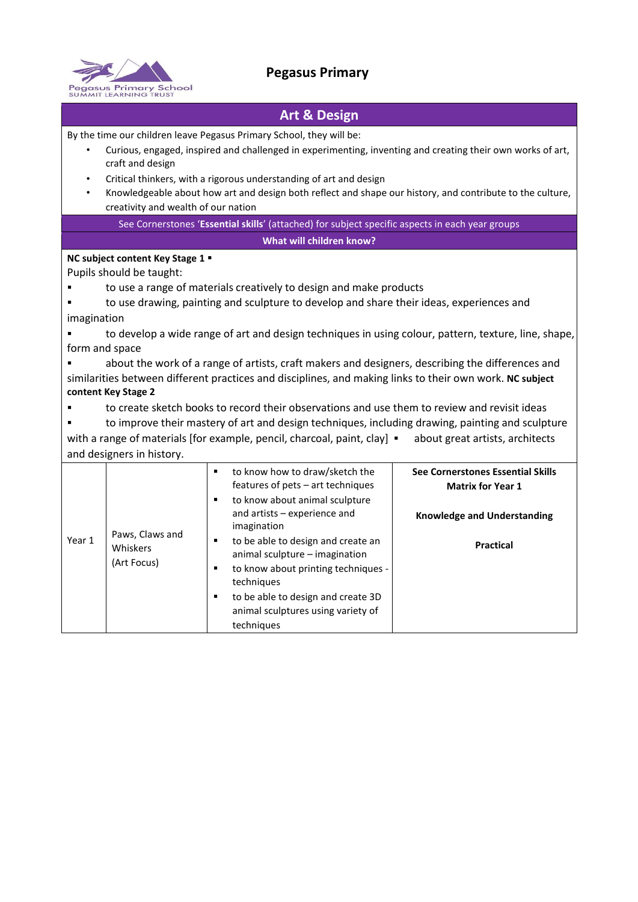

## **Pegasus Primary**

## **Art & Design**

By the time our children leave Pegasus Primary School, they will be:

- Curious, engaged, inspired and challenged in experimenting, inventing and creating their own works of art, craft and design
- Critical thinkers, with a rigorous understanding of art and design
- Knowledgeable about how art and design both reflect and shape our history, and contribute to the culture, creativity and wealth of our nation

See Cornerstones '**Essential skills**' (attached) for subject specific aspects in each year groups **What will children know?** 

## **NC subject content Key Stage 1**

Pupils should be taught:

- to use a range of materials creatively to design and make products
- to use drawing, painting and sculpture to develop and share their ideas, experiences and imagination
- to develop a wide range of art and design techniques in using colour, pattern, texture, line, shape, form and space
- about the work of a range of artists, craft makers and designers, describing the differences and similarities between different practices and disciplines, and making links to their own work. **NC subject content Key Stage 2**
- to create sketch books to record their observations and use them to review and revisit ideas
- to improve their mastery of art and design techniques, including drawing, painting and sculpture with a range of materials [for example, pencil, charcoal, paint, clay] · about great artists, architects and designers in history.

| Year 1 |                             | ٠ | to know how to draw/sketch the<br>features of pets - art techniques           | See Cornerstones Essential Skills<br><b>Matrix for Year 1</b> |  |  |  |
|--------|-----------------------------|---|-------------------------------------------------------------------------------|---------------------------------------------------------------|--|--|--|
|        |                             | ٠ | to know about animal sculpture<br>and artists – experience and<br>imagination | <b>Knowledge and Understanding</b>                            |  |  |  |
|        | Paws, Claws and<br>Whiskers | ٠ | to be able to design and create an<br>animal sculpture - imagination          | <b>Practical</b>                                              |  |  |  |
|        | (Art Focus)                 | ٠ | to know about printing techniques -<br>techniques                             |                                                               |  |  |  |
|        |                             | ٠ | to be able to design and create 3D                                            |                                                               |  |  |  |
|        |                             |   | animal sculptures using variety of                                            |                                                               |  |  |  |
|        |                             |   | techniques                                                                    |                                                               |  |  |  |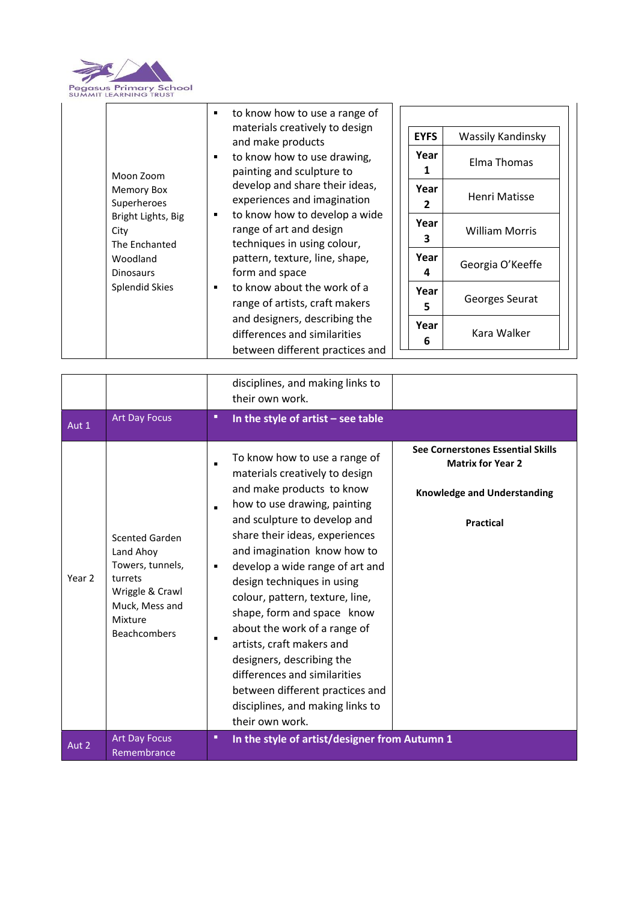

| to know how to use a range of<br>٠<br>materials creatively to design<br><b>EYFS</b><br>Wassily Kandinsky<br>and make products<br>Year<br>to know how to use drawing,<br>٠<br>Elma Thomas<br>painting and sculpture to<br>Moon Zoom<br>develop and share their ideas,<br>Year<br>Memory Box<br>Henri Matisse<br>experiences and imagination<br>Superheroes<br>2<br>to know how to develop a wide<br>٠<br>Bright Lights, Big<br>Year<br>range of art and design<br><b>William Morris</b><br>City<br>3<br>techniques in using colour,<br>The Enchanted<br>Year<br>pattern, texture, line, shape,<br>Woodland<br>Georgia O'Keeffe<br>form and space<br><b>Dinosaurs</b><br>4<br><b>Splendid Skies</b><br>to know about the work of a<br>٠<br>Year<br>Georges Seurat<br>range of artists, craft makers<br>5<br>and designers, describing the<br>Year<br>Kara Walker<br>differences and similarities<br>6 |
|-----------------------------------------------------------------------------------------------------------------------------------------------------------------------------------------------------------------------------------------------------------------------------------------------------------------------------------------------------------------------------------------------------------------------------------------------------------------------------------------------------------------------------------------------------------------------------------------------------------------------------------------------------------------------------------------------------------------------------------------------------------------------------------------------------------------------------------------------------------------------------------------------------|
|-----------------------------------------------------------------------------------------------------------------------------------------------------------------------------------------------------------------------------------------------------------------------------------------------------------------------------------------------------------------------------------------------------------------------------------------------------------------------------------------------------------------------------------------------------------------------------------------------------------------------------------------------------------------------------------------------------------------------------------------------------------------------------------------------------------------------------------------------------------------------------------------------------|

|                   |                                                                                                                                   | disciplines, and making links to<br>their own work.                                                                                                                                                                                                                                                                                                                                                                                                                                                                                                                                                                                            |                                                                                                                         |
|-------------------|-----------------------------------------------------------------------------------------------------------------------------------|------------------------------------------------------------------------------------------------------------------------------------------------------------------------------------------------------------------------------------------------------------------------------------------------------------------------------------------------------------------------------------------------------------------------------------------------------------------------------------------------------------------------------------------------------------------------------------------------------------------------------------------------|-------------------------------------------------------------------------------------------------------------------------|
| Aut 1             | <b>Art Day Focus</b>                                                                                                              | In the style of artist $-$ see table<br>٠                                                                                                                                                                                                                                                                                                                                                                                                                                                                                                                                                                                                      |                                                                                                                         |
| Year <sub>2</sub> | Scented Garden<br>Land Ahoy<br>Towers, tunnels,<br>turrets<br>Wriggle & Crawl<br>Muck, Mess and<br>Mixture<br><b>Beachcombers</b> | To know how to use a range of<br>$\blacksquare$<br>materials creatively to design<br>and make products to know<br>how to use drawing, painting<br>$\blacksquare$<br>and sculpture to develop and<br>share their ideas, experiences<br>and imagination know how to<br>develop a wide range of art and<br>$\blacksquare$<br>design techniques in using<br>colour, pattern, texture, line,<br>shape, form and space know<br>about the work of a range of<br>٠<br>artists, craft makers and<br>designers, describing the<br>differences and similarities<br>between different practices and<br>disciplines, and making links to<br>their own work. | See Cornerstones Essential Skills<br><b>Matrix for Year 2</b><br><b>Knowledge and Understanding</b><br><b>Practical</b> |
| Aut 2             | <b>Art Day Focus</b><br>Remembrance                                                                                               | In the style of artist/designer from Autumn 1<br>٠                                                                                                                                                                                                                                                                                                                                                                                                                                                                                                                                                                                             |                                                                                                                         |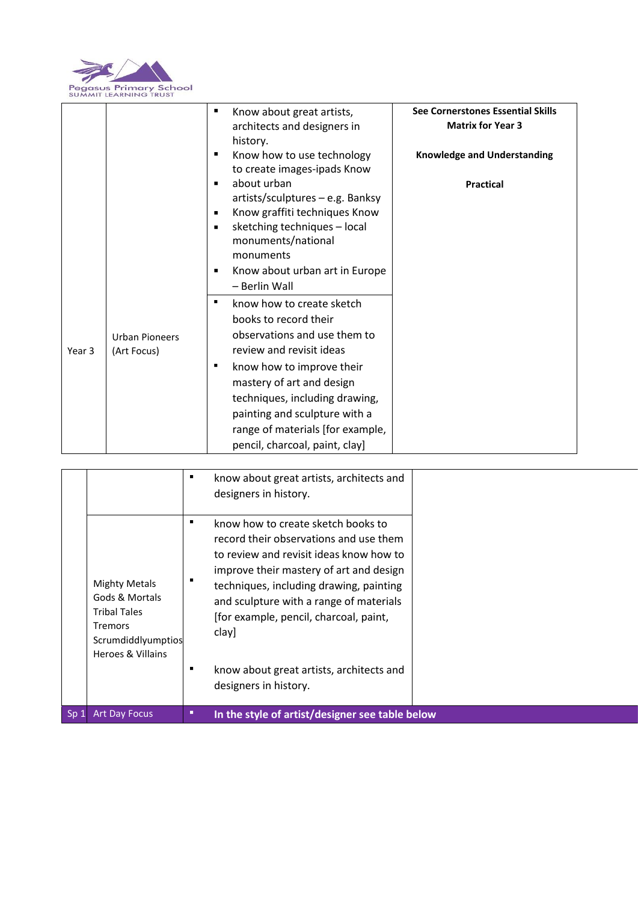

|        |                       | ٠              | Know about great artists,        | See Cornerstones Essential Skills  |
|--------|-----------------------|----------------|----------------------------------|------------------------------------|
|        |                       |                | architects and designers in      | <b>Matrix for Year 3</b>           |
|        |                       |                | history.                         |                                    |
|        |                       | п              | Know how to use technology       | <b>Knowledge and Understanding</b> |
|        |                       |                | to create images-ipads Know      |                                    |
|        |                       | ٠              | about urban                      | <b>Practical</b>                   |
|        |                       |                | artists/sculptures - e.g. Banksy |                                    |
|        |                       | $\blacksquare$ | Know graffiti techniques Know    |                                    |
|        |                       | п              | sketching techniques - local     |                                    |
|        |                       |                | monuments/national               |                                    |
|        |                       |                | monuments                        |                                    |
|        |                       | $\blacksquare$ | Know about urban art in Europe   |                                    |
|        |                       |                | - Berlin Wall                    |                                    |
|        |                       | ٠              | know how to create sketch        |                                    |
|        |                       |                | books to record their            |                                    |
| Year 3 | <b>Urban Pioneers</b> |                | observations and use them to     |                                    |
|        | (Art Focus)           |                | review and revisit ideas         |                                    |
|        |                       | ٠              | know how to improve their        |                                    |
|        |                       |                | mastery of art and design        |                                    |
|        |                       |                | techniques, including drawing,   |                                    |
|        |                       |                | painting and sculpture with a    |                                    |
|        |                       |                | range of materials [for example, |                                    |
|        |                       |                | pencil, charcoal, paint, clay]   |                                    |

|     |                                                                                                                            |   | know about great artists, architects and<br>designers in history.                                                                                                                                                                                                                                                                                                                |
|-----|----------------------------------------------------------------------------------------------------------------------------|---|----------------------------------------------------------------------------------------------------------------------------------------------------------------------------------------------------------------------------------------------------------------------------------------------------------------------------------------------------------------------------------|
|     | <b>Mighty Metals</b><br>Gods & Mortals<br><b>Tribal Tales</b><br><b>Tremors</b><br>Scrumdiddlyumptios<br>Heroes & Villains |   | know how to create sketch books to<br>record their observations and use them<br>to review and revisit ideas know how to<br>improve their mastery of art and design<br>techniques, including drawing, painting<br>and sculpture with a range of materials<br>[for example, pencil, charcoal, paint,<br>clay]<br>know about great artists, architects and<br>designers in history. |
| Sp1 | <b>Art Day Focus</b>                                                                                                       | п | In the style of artist/designer see table below                                                                                                                                                                                                                                                                                                                                  |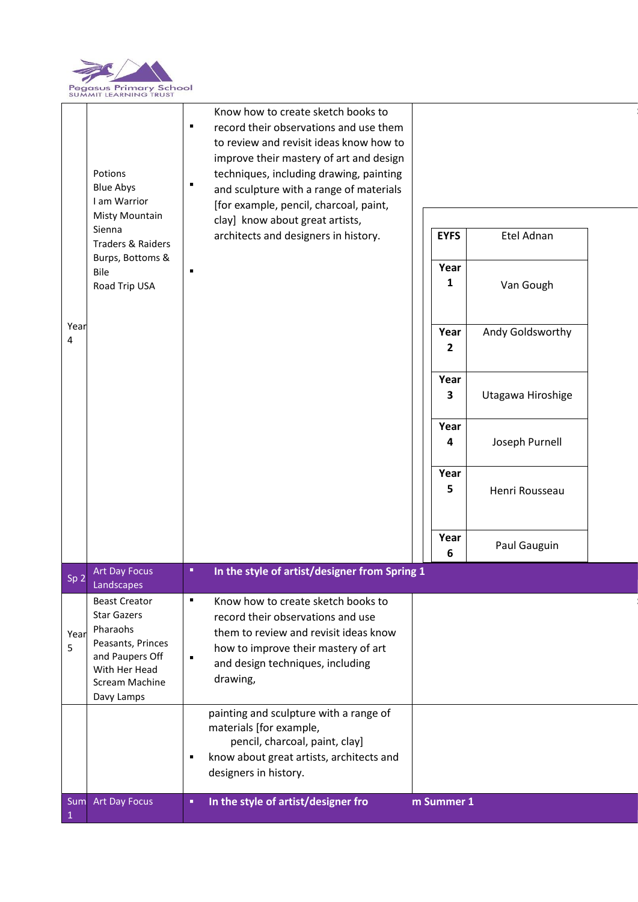

| Year<br>4       | Potions<br><b>Blue Abys</b><br>I am Warrior<br>Misty Mountain<br>Sienna<br><b>Traders &amp; Raiders</b><br>Burps, Bottoms &<br>Bile<br>Road Trip USA | Know how to create sketch books to<br>record their observations and use them<br>Е<br>to review and revisit ideas know how to<br>improve their mastery of art and design<br>techniques, including drawing, painting<br>٠<br>and sculpture with a range of materials<br>[for example, pencil, charcoal, paint,<br>clay] know about great artists,<br>architects and designers in history.<br>٠ | Etel Adnan<br><b>EYFS</b><br>Year<br>1<br>Van Gough<br>Andy Goldsworthy<br>Year<br>2                 |
|-----------------|------------------------------------------------------------------------------------------------------------------------------------------------------|----------------------------------------------------------------------------------------------------------------------------------------------------------------------------------------------------------------------------------------------------------------------------------------------------------------------------------------------------------------------------------------------|------------------------------------------------------------------------------------------------------|
|                 |                                                                                                                                                      |                                                                                                                                                                                                                                                                                                                                                                                              | Year<br>3<br>Utagawa Hiroshige<br>Year<br>Joseph Purnell<br>4<br>Year<br>5<br>Henri Rousseau<br>Year |
|                 |                                                                                                                                                      |                                                                                                                                                                                                                                                                                                                                                                                              | Paul Gauguin<br>6                                                                                    |
| Sp <sub>2</sub> | <b>Art Day Focus</b><br>Landscapes                                                                                                                   | п<br>In the style of artist/designer from Spring 1                                                                                                                                                                                                                                                                                                                                           |                                                                                                      |
| Year<br>5       | <b>Beast Creator</b><br><b>Star Gazers</b><br>Pharaohs<br>Peasants, Princes<br>and Paupers Off<br>With Her Head<br>Scream Machine<br>Davy Lamps      | ٠<br>Know how to create sketch books to<br>record their observations and use<br>them to review and revisit ideas know<br>how to improve their mastery of art<br>٠<br>and design techniques, including<br>drawing,                                                                                                                                                                            |                                                                                                      |
|                 |                                                                                                                                                      | painting and sculpture with a range of<br>materials [for example,<br>pencil, charcoal, paint, clay]<br>know about great artists, architects and<br>٠<br>designers in history.                                                                                                                                                                                                                |                                                                                                      |
| $\mathbf{1}$    | Sum Art Day Focus                                                                                                                                    | In the style of artist/designer fro<br>п                                                                                                                                                                                                                                                                                                                                                     | m Summer 1                                                                                           |

**See Cornerstones Essential Skills** 

**See Cornerstones Essential Skills**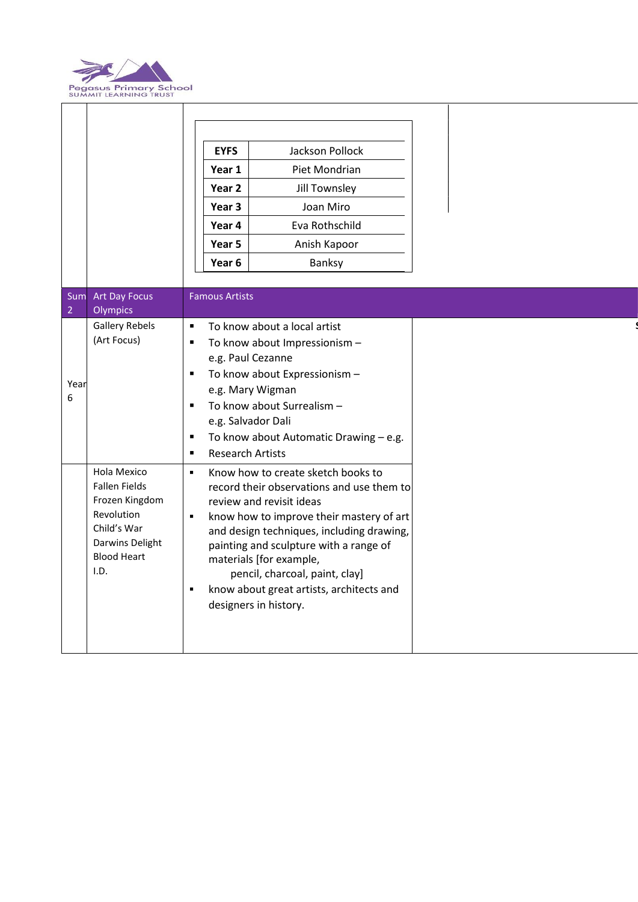

|                |                                                                                                                                     |                                                                                                                                                                                                                                                                                                                                                                                                                                        | <b>EYFS</b><br>Year 1<br>Year 2<br>Year 3<br>Year 4<br>Year 5 | Jackson Pollock<br>Piet Mondrian<br>Jill Townsley<br>Joan Miro<br>Eva Rothschild<br>Anish Kapoor                                                                                                                |  |  |  |
|----------------|-------------------------------------------------------------------------------------------------------------------------------------|----------------------------------------------------------------------------------------------------------------------------------------------------------------------------------------------------------------------------------------------------------------------------------------------------------------------------------------------------------------------------------------------------------------------------------------|---------------------------------------------------------------|-----------------------------------------------------------------------------------------------------------------------------------------------------------------------------------------------------------------|--|--|--|
|                |                                                                                                                                     |                                                                                                                                                                                                                                                                                                                                                                                                                                        | Year 6                                                        | Banksy                                                                                                                                                                                                          |  |  |  |
| $\overline{2}$ | Sum Art Day Focus<br>Olympics                                                                                                       |                                                                                                                                                                                                                                                                                                                                                                                                                                        | <b>Famous Artists</b>                                         |                                                                                                                                                                                                                 |  |  |  |
| Year<br>6      | <b>Gallery Rebels</b><br>(Art Focus)                                                                                                | $\blacksquare$<br>П<br>$\blacksquare$<br>$\blacksquare$<br>$\blacksquare$<br>$\blacksquare$                                                                                                                                                                                                                                                                                                                                            | e.g. Salvador Dali<br><b>Research Artists</b>                 | To know about a local artist<br>To know about Impressionism -<br>e.g. Paul Cezanne<br>To know about Expressionism -<br>e.g. Mary Wigman<br>To know about Surrealism -<br>To know about Automatic Drawing - e.g. |  |  |  |
|                | Hola Mexico<br><b>Fallen Fields</b><br>Frozen Kingdom<br>Revolution<br>Child's War<br>Darwins Delight<br><b>Blood Heart</b><br>I.D. | Know how to create sketch books to<br>$\blacksquare$<br>record their observations and use them to<br>review and revisit ideas<br>know how to improve their mastery of art<br>$\blacksquare$<br>and design techniques, including drawing,<br>painting and sculpture with a range of<br>materials [for example,<br>pencil, charcoal, paint, clay]<br>know about great artists, architects and<br>$\blacksquare$<br>designers in history. |                                                               |                                                                                                                                                                                                                 |  |  |  |